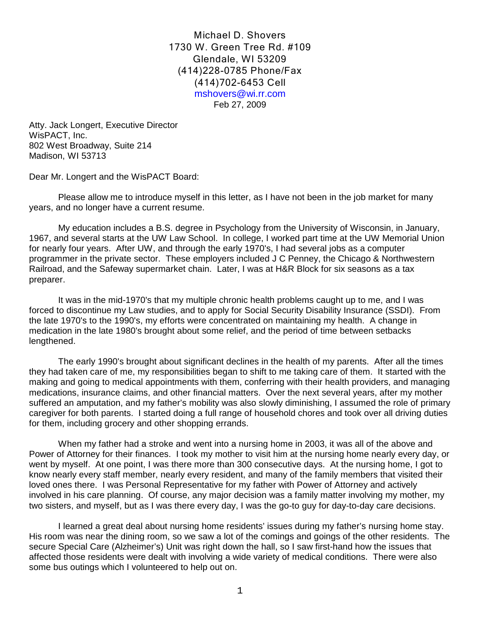Michael D. Shovers 1730 W. Green Tree Rd. #109 Glendale, WI 53209 (414)228-0785 Phone/Fax (414)702-6453 Cell mshovers@wi.rr.com Feb 27, 2009

Atty. Jack Longert, Executive Director WisPACT, Inc. 802 West Broadway, Suite 214 Madison, WI 53713

Dear Mr. Longert and the WisPACT Board:

Please allow me to introduce myself in this letter, as I have not been in the job market for many years, and no longer have a current resume.

My education includes a B.S. degree in Psychology from the University of Wisconsin, in January, 1967, and several starts at the UW Law School. In college, I worked part time at the UW Memorial Union for nearly four years. After UW, and through the early 1970's, I had several jobs as a computer programmer in the private sector. These employers included J C Penney, the Chicago & Northwestern Railroad, and the Safeway supermarket chain. Later, I was at H&R Block for six seasons as a tax preparer.

It was in the mid-1970's that my multiple chronic health problems caught up to me, and I was forced to discontinue my Law studies, and to apply for Social Security Disability Insurance (SSDI). From the late 1970's to the 1990's, my efforts were concentrated on maintaining my health. A change in medication in the late 1980's brought about some relief, and the period of time between setbacks lengthened.

The early 1990's brought about significant declines in the health of my parents. After all the times they had taken care of me, my responsibilities began to shift to me taking care of them. It started with the making and going to medical appointments with them, conferring with their health providers, and managing medications, insurance claims, and other financial matters. Over the next several years, after my mother suffered an amputation, and my father's mobility was also slowly diminishing, I assumed the role of primary caregiver for both parents. I started doing a full range of household chores and took over all driving duties for them, including grocery and other shopping errands.

When my father had a stroke and went into a nursing home in 2003, it was all of the above and Power of Attorney for their finances. I took my mother to visit him at the nursing home nearly every day, or went by myself. At one point, I was there more than 300 consecutive days. At the nursing home, I got to know nearly every staff member, nearly every resident, and many of the family members that visited their loved ones there. I was Personal Representative for my father with Power of Attorney and actively involved in his care planning. Of course, any major decision was a family matter involving my mother, my two sisters, and myself, but as I was there every day, I was the go-to guy for day-to-day care decisions.

I learned a great deal about nursing home residents' issues during my father's nursing home stay. His room was near the dining room, so we saw a lot of the comings and goings of the other residents. The secure Special Care (Alzheimer's) Unit was right down the hall, so I saw first-hand how the issues that affected those residents were dealt with involving a wide variety of medical conditions. There were also some bus outings which I volunteered to help out on.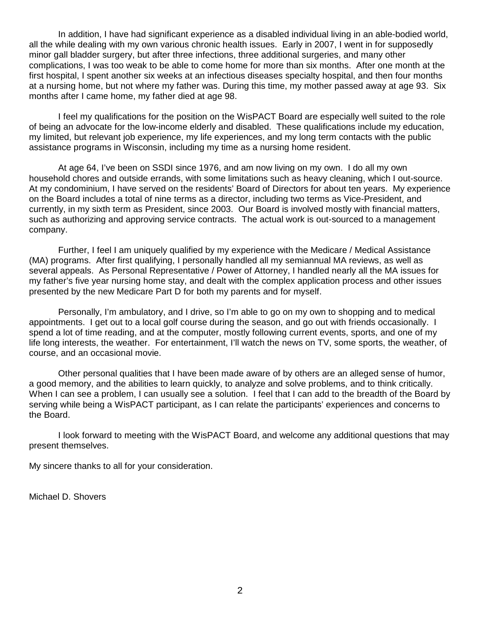In addition, I have had significant experience as a disabled individual living in an able-bodied world, all the while dealing with my own various chronic health issues. Early in 2007, I went in for supposedly minor gall bladder surgery, but after three infections, three additional surgeries, and many other complications, I was too weak to be able to come home for more than six months. After one month at the first hospital, I spent another six weeks at an infectious diseases specialty hospital, and then four months at a nursing home, but not where my father was. During this time, my mother passed away at age 93. Six months after I came home, my father died at age 98.

I feel my qualifications for the position on the WisPACT Board are especially well suited to the role of being an advocate for the low-income elderly and disabled. These qualifications include my education, my limited, but relevant job experience, my life experiences, and my long term contacts with the public assistance programs in Wisconsin, including my time as a nursing home resident.

At age 64, I've been on SSDI since 1976, and am now living on my own. I do all my own household chores and outside errands, with some limitations such as heavy cleaning, which I out-source. At my condominium, I have served on the residents' Board of Directors for about ten years. My experience on the Board includes a total of nine terms as a director, including two terms as Vice-President, and currently, in my sixth term as President, since 2003. Our Board is involved mostly with financial matters, such as authorizing and approving service contracts. The actual work is out-sourced to a management company.

Further, I feel I am uniquely qualified by my experience with the Medicare / Medical Assistance (MA) programs. After first qualifying, I personally handled all my semiannual MA reviews, as well as several appeals. As Personal Representative / Power of Attorney, I handled nearly all the MA issues for my father's five year nursing home stay, and dealt with the complex application process and other issues presented by the new Medicare Part D for both my parents and for myself.

Personally, I'm ambulatory, and I drive, so I'm able to go on my own to shopping and to medical appointments. I get out to a local golf course during the season, and go out with friends occasionally. I spend a lot of time reading, and at the computer, mostly following current events, sports, and one of my life long interests, the weather. For entertainment, I'll watch the news on TV, some sports, the weather, of course, and an occasional movie.

Other personal qualities that I have been made aware of by others are an alleged sense of humor, a good memory, and the abilities to learn quickly, to analyze and solve problems, and to think critically. When I can see a problem, I can usually see a solution. I feel that I can add to the breadth of the Board by serving while being a WisPACT participant, as I can relate the participants' experiences and concerns to the Board.

I look forward to meeting with the WisPACT Board, and welcome any additional questions that may present themselves.

My sincere thanks to all for your consideration.

Michael D. Shovers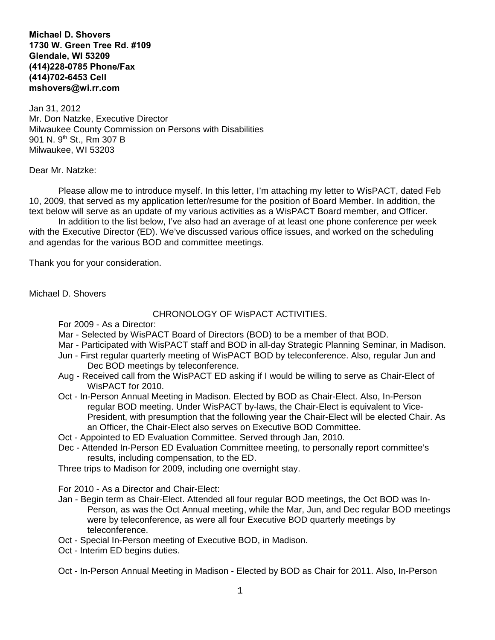**Michael D. Shovers 1730 W. Green Tree Rd. #109 Glendale, WI 53209 (414)228-0785 Phone/Fax (414)702-6453 Cell mshovers@wi.rr.com**

Jan 31, 2012 Mr. Don Natzke, Executive Director Milwaukee County Commission on Persons with Disabilities 901 N. 9<sup>th</sup> St., Rm 307 B Milwaukee, WI 53203

## Dear Mr. Natzke:

Please allow me to introduce myself. In this letter, I'm attaching my letter to WisPACT, dated Feb 10, 2009, that served as my application letter/resume for the position of Board Member. In addition, the text below will serve as an update of my various activities as a WisPACT Board member, and Officer.

In addition to the list below, I've also had an average of at least one phone conference per week with the Executive Director (ED). We've discussed various office issues, and worked on the scheduling and agendas for the various BOD and committee meetings.

Thank you for your consideration.

Michael D. Shovers

## CHRONOLOGY OF WisPACT ACTIVITIES.

For 2009 - As a Director:

- Mar Selected by WisPACT Board of Directors (BOD) to be a member of that BOD.
- Mar Participated with WisPACT staff and BOD in all-day Strategic Planning Seminar, in Madison.
- Jun First regular quarterly meeting of WisPACT BOD by teleconference. Also, regular Jun and Dec BOD meetings by teleconference.
- Aug Received call from the WisPACT ED asking if I would be willing to serve as Chair-Elect of WisPACT for 2010.
- Oct In-Person Annual Meeting in Madison. Elected by BOD as Chair-Elect. Also, In-Person regular BOD meeting. Under WisPACT by-laws, the Chair-Elect is equivalent to Vice-President, with presumption that the following year the Chair-Elect will be elected Chair. As an Officer, the Chair-Elect also serves on Executive BOD Committee.
- Oct Appointed to ED Evaluation Committee. Served through Jan, 2010.
- Dec Attended In-Person ED Evaluation Committee meeting, to personally report committee's results, including compensation, to the ED.

Three trips to Madison for 2009, including one overnight stay.

For 2010 - As a Director and Chair-Elect:

- Jan Begin term as Chair-Elect. Attended all four regular BOD meetings, the Oct BOD was In-Person, as was the Oct Annual meeting, while the Mar, Jun, and Dec regular BOD meetings were by teleconference, as were all four Executive BOD quarterly meetings by teleconference.
- Oct Special In-Person meeting of Executive BOD, in Madison.
- Oct Interim ED begins duties.

Oct - In-Person Annual Meeting in Madison - Elected by BOD as Chair for 2011. Also, In-Person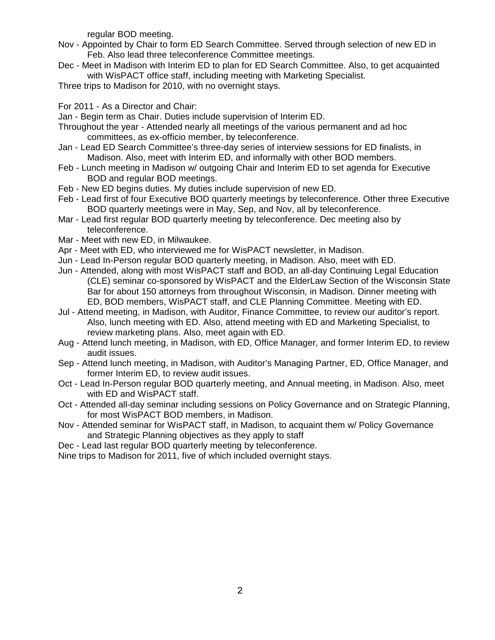regular BOD meeting.

- Nov Appointed by Chair to form ED Search Committee. Served through selection of new ED in Feb. Also lead three teleconference Committee meetings.
- Dec Meet in Madison with Interim ED to plan for ED Search Committee. Also, to get acquainted with WisPACT office staff, including meeting with Marketing Specialist.
- Three trips to Madison for 2010, with no overnight stays.

For 2011 - As a Director and Chair:

- Jan Begin term as Chair. Duties include supervision of Interim ED.
- Throughout the year Attended nearly all meetings of the various permanent and ad hoc committees, as ex-officio member, by teleconference.
- Jan Lead ED Search Committee's three-day series of interview sessions for ED finalists, in Madison. Also, meet with Interim ED, and informally with other BOD members.
- Feb Lunch meeting in Madison w/ outgoing Chair and Interim ED to set agenda for Executive BOD and regular BOD meetings.
- Feb New ED begins duties. My duties include supervision of new ED.
- Feb Lead first of four Executive BOD quarterly meetings by teleconference. Other three Executive BOD quarterly meetings were in May, Sep, and Nov, all by teleconference.
- Mar Lead first regular BOD quarterly meeting by teleconference. Dec meeting also by teleconference.
- Mar Meet with new ED, in Milwaukee.
- Apr Meet with ED, who interviewed me for WisPACT newsletter, in Madison.
- Jun Lead In-Person regular BOD quarterly meeting, in Madison. Also, meet with ED.
- Jun Attended, along with most WisPACT staff and BOD, an all-day Continuing Legal Education (CLE) seminar co-sponsored by WisPACT and the ElderLaw Section of the Wisconsin State Bar for about 150 attorneys from throughout Wisconsin, in Madison. Dinner meeting with ED, BOD members, WisPACT staff, and CLE Planning Committee. Meeting with ED.
- Jul Attend meeting, in Madison, with Auditor, Finance Committee, to review our auditor's report. Also, lunch meeting with ED. Also, attend meeting with ED and Marketing Specialist, to review marketing plans. Also, meet again with ED.
- Aug Attend lunch meeting, in Madison, with ED, Office Manager, and former Interim ED, to review audit issues.
- Sep Attend lunch meeting, in Madison, with Auditor's Managing Partner, ED, Office Manager, and former Interim ED, to review audit issues.
- Oct Lead In-Person regular BOD quarterly meeting, and Annual meeting, in Madison. Also, meet with ED and WisPACT staff.
- Oct Attended all-day seminar including sessions on Policy Governance and on Strategic Planning, for most WisPACT BOD members, in Madison.
- Nov Attended seminar for WisPACT staff, in Madison, to acquaint them w/ Policy Governance and Strategic Planning objectives as they apply to staff
- Dec Lead last regular BOD quarterly meeting by teleconference.
- Nine trips to Madison for 2011, five of which included overnight stays.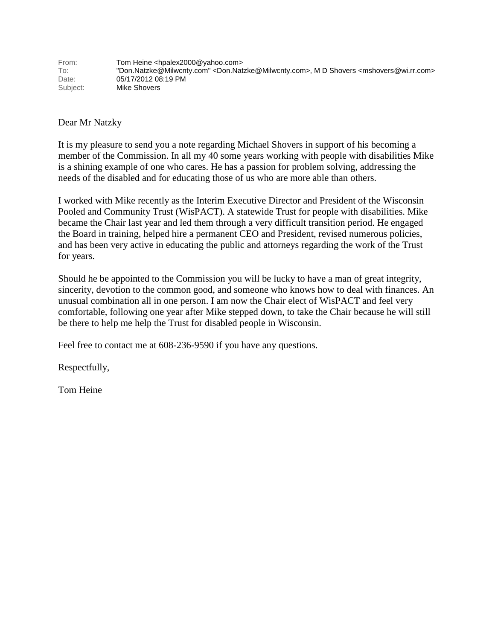Dear Mr Natzky

It is my pleasure to send you a note regarding Michael Shovers in support of his becoming a member of the Commission. In all my 40 some years working with people with disabilities Mike is a shining example of one who cares. He has a passion for problem solving, addressing the needs of the disabled and for educating those of us who are more able than others.

I worked with Mike recently as the Interim Executive Director and President of the Wisconsin Pooled and Community Trust (WisPACT). A statewide Trust for people with disabilities. Mike became the Chair last year and led them through a very difficult transition period. He engaged the Board in training, helped hire a permanent CEO and President, revised numerous policies, and has been very active in educating the public and attorneys regarding the work of the Trust for years.

Should he be appointed to the Commission you will be lucky to have a man of great integrity, sincerity, devotion to the common good, and someone who knows how to deal with finances. An unusual combination all in one person. I am now the Chair elect of WisPACT and feel very comfortable, following one year after Mike stepped down, to take the Chair because he will still be there to help me help the Trust for disabled people in Wisconsin.

Feel free to contact me at 608-236-9590 if you have any questions.

Respectfully,

Tom Heine